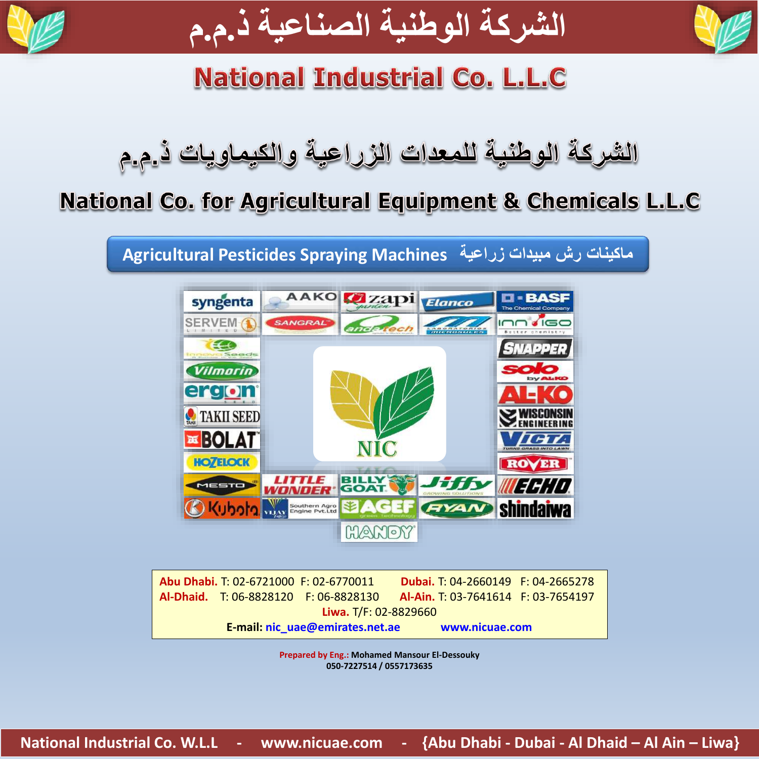



# **National Industrial Co. L.L.C**

### National Co. for Agricultural Equipment & Chemicals L.L.C

**ماكينات رش مبيدات زراعية Machines Spraying Pesticides Agricultural**



|  | Abu Dhabi. T: 02-6721000 F: 02-6770011 | Dubai. T: 04-2660149 F: 04-2665278  |  |
|--|----------------------------------------|-------------------------------------|--|
|  | Al-Dhaid. T: 06-8828120 F: 06-8828130  | Al-Ain. T: 03-7641614 F: 03-7654197 |  |
|  | Liwa. T/F: 02-8829660                  |                                     |  |
|  | E-mail: nic uae@emirates.net.ae        | www.nicuae.com                      |  |

**Prepared by Eng.: Mohamed Mansour El-Dessouky 050-7227514 / 0557173635**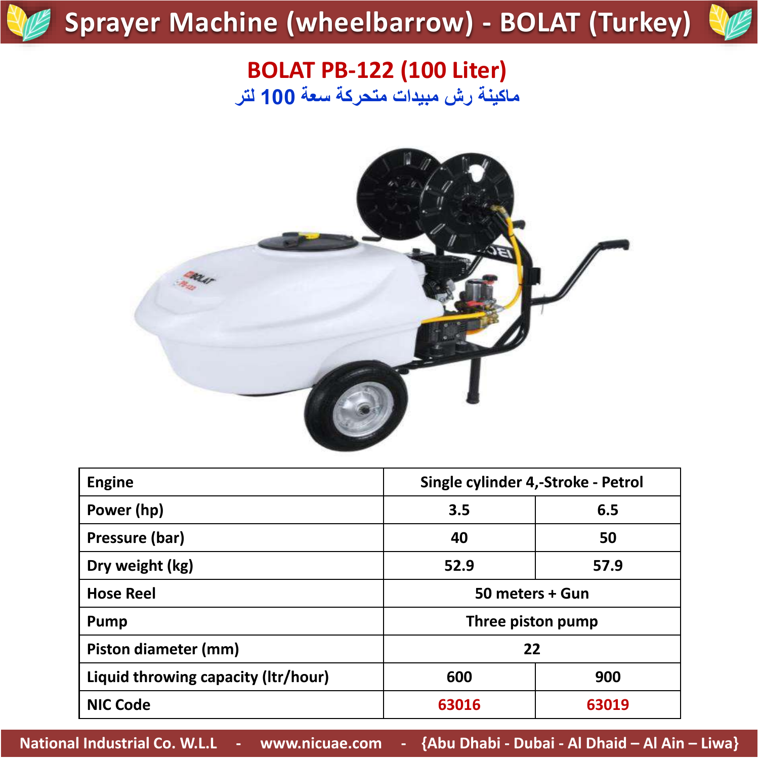# **Sprayer Machine (wheelbarrow) - BOLAT (Turkey)**



#### **BOLAT PB-122 (100 Liter) ماكينة رش مبيدات متحركة سعة 100 لتر**



| <b>Engine</b>                       | Single cylinder 4,-Stroke - Petrol |       |
|-------------------------------------|------------------------------------|-------|
| Power (hp)                          | 3.5                                | 6.5   |
| Pressure (bar)                      | 40                                 | 50    |
| Dry weight (kg)                     | 52.9                               | 57.9  |
| <b>Hose Reel</b>                    | 50 meters + Gun                    |       |
| <b>Pump</b>                         | Three piston pump                  |       |
| Piston diameter (mm)                | 22                                 |       |
| Liquid throwing capacity (Itr/hour) | 600                                | 900   |
| <b>NIC Code</b>                     | 63016                              | 63019 |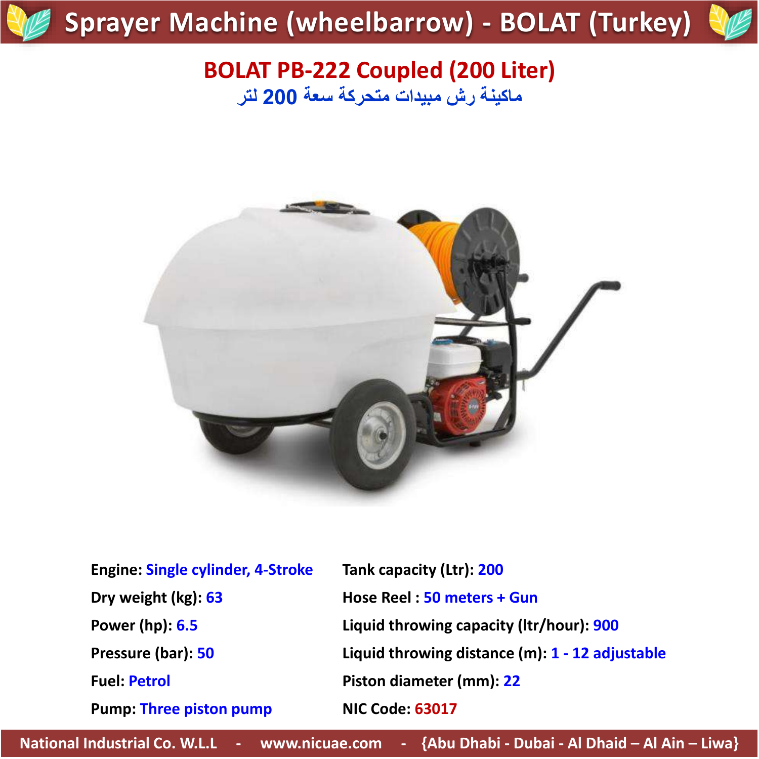# **Sprayer Machine (wheelbarrow) - BOLAT (Turkey)**



#### **BOLAT PB-222 Coupled (200 Liter) ماكينة رش مبيدات متحركة سعة 200 لتر**



| <b>Engine: Single cylinder, 4-Stroke</b> | Tank capacity (Ltr): 200                           |
|------------------------------------------|----------------------------------------------------|
| Dry weight (kg): 63                      | Hose Reel: 50 meters + Gun                         |
| Power (hp): 6.5                          | Liquid throwing capacity (Itr/hour): 900           |
| Pressure (bar): 50                       | Liquid throwing distance $(m)$ : 1 - 12 adjustable |
| <b>Fuel: Petrol</b>                      | Piston diameter (mm): 22                           |
| <b>Pump: Three piston pump</b>           | <b>NIC Code: 63017</b>                             |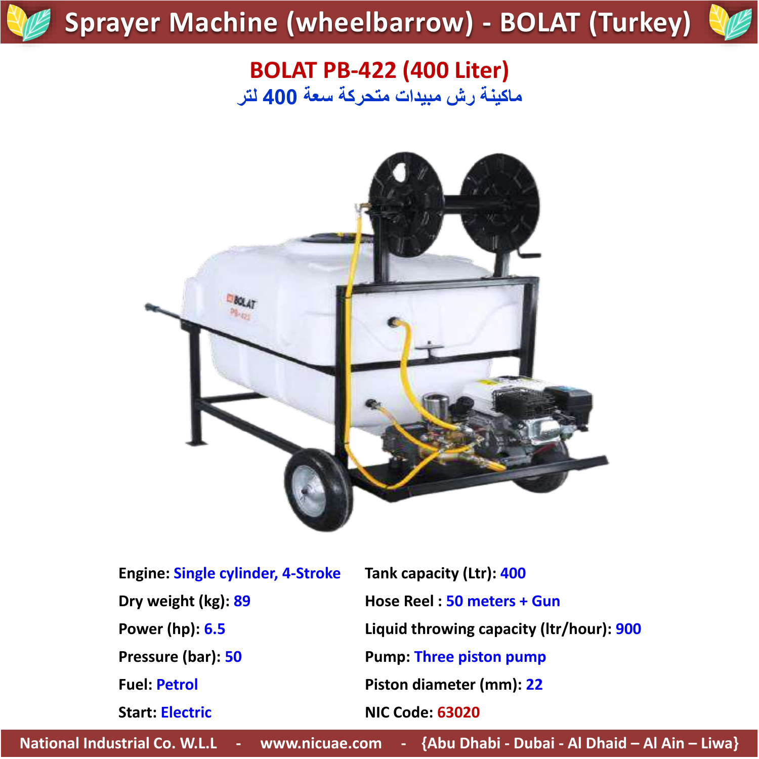# **Sprayer Machine (wheelbarrow) - BOLAT (Turkey)**



#### **BOLAT PB-422 (400 Liter) ماكينة رش مبيدات متحركة سعة 400 لتر**



| <b>Engine: Single cylinder, 4-Stroke</b> | Tank capacity (Ltr): 400                 |
|------------------------------------------|------------------------------------------|
| Dry weight (kg): 89                      | Hose Reel: 50 meters + Gun               |
| Power (hp): 6.5                          | Liquid throwing capacity (Itr/hour): 900 |
| Pressure (bar): 50                       | <b>Pump: Three piston pump</b>           |
| <b>Fuel: Petrol</b>                      | Piston diameter (mm): 22                 |
| <b>Start: Electric</b>                   | <b>NIC Code: 63020</b>                   |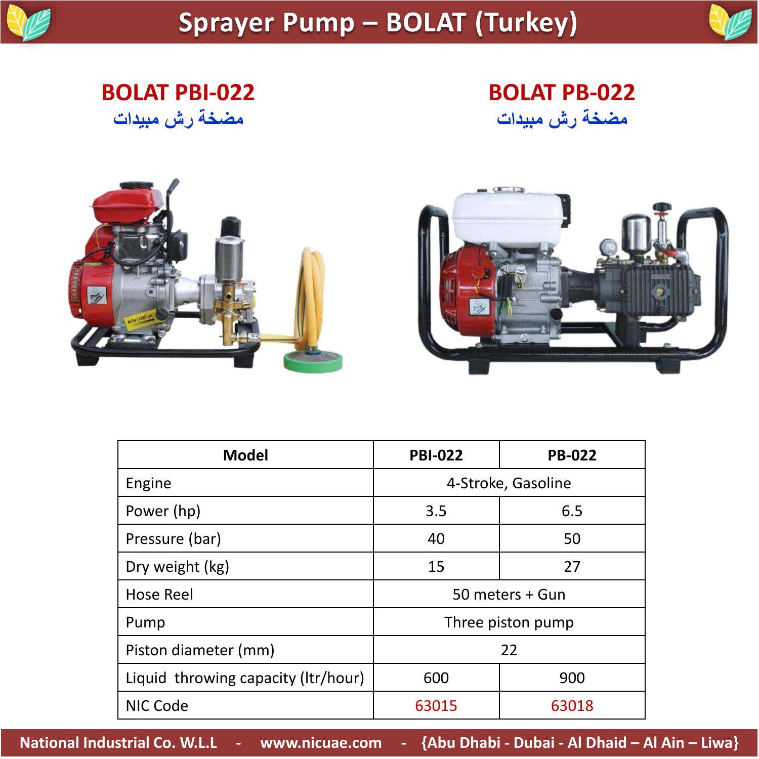

### **Sprayer Pump – BOLAT (Turkey)**

**BOLAT PBI-022 مضخة رش مبيدات**

**BOLAT PB-022 مضخة رش مبيدات**





| <b>Model</b>                        | <b>PBI-022</b>  | <b>PB-022</b>      |
|-------------------------------------|-----------------|--------------------|
| Engine                              |                 | 4-Stroke, Gasoline |
| Power (hp)                          | 3.5             | 6.5                |
| Pressure (bar)                      | 40              | 50                 |
| Dry weight (kg)                     | 15              | 27                 |
| <b>Hose Reel</b>                    | 50 meters + Gun |                    |
| Pump                                |                 | Three piston pump  |
| Piston diameter (mm)                |                 | 22                 |
| Liquid throwing capacity (Itr/hour) | 600             | 900                |
| <b>NIC Code</b>                     | 63015           | 63018              |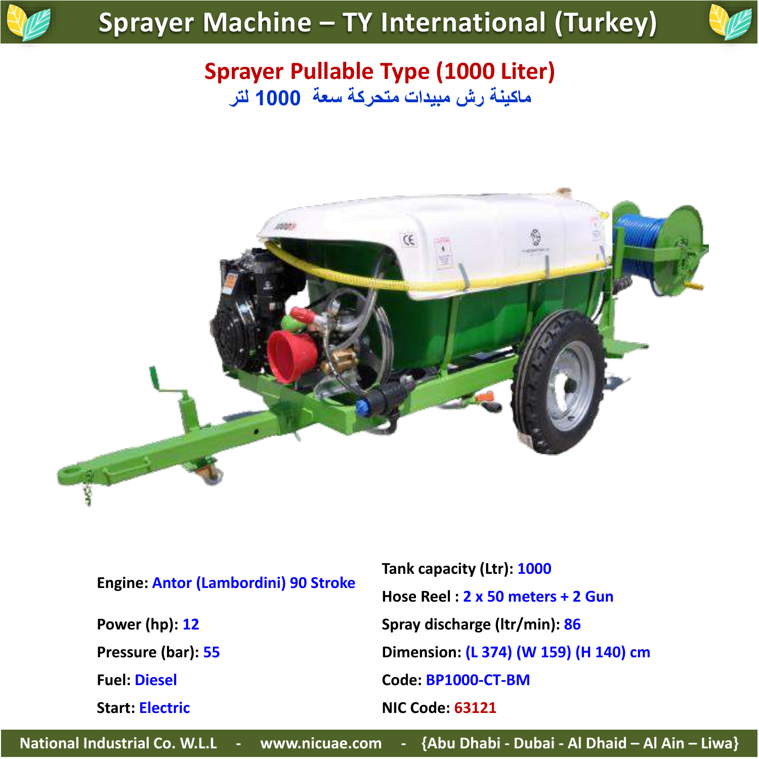

#### **Sprayer Pullable Type (1000 Liter) ماكينة رش مبيدات متحركة سعة 1000 لتر**



| <b>Engine: Antor (Lambordini) 90 Stroke</b> |  |  |
|---------------------------------------------|--|--|
|---------------------------------------------|--|--|

**Start: Electric NIC Code: 63121**

**Tank capacity (Ltr): 1000 Hose Reel : 2 x 50 meters + 2 Gun Power (hp): 12 Spray discharge (ltr/min): 86 Pressure (bar): 55 Dimension: (L 374) (W 159) (H 140) cm Fuel: Diesel Code: BP1000-CT-BM**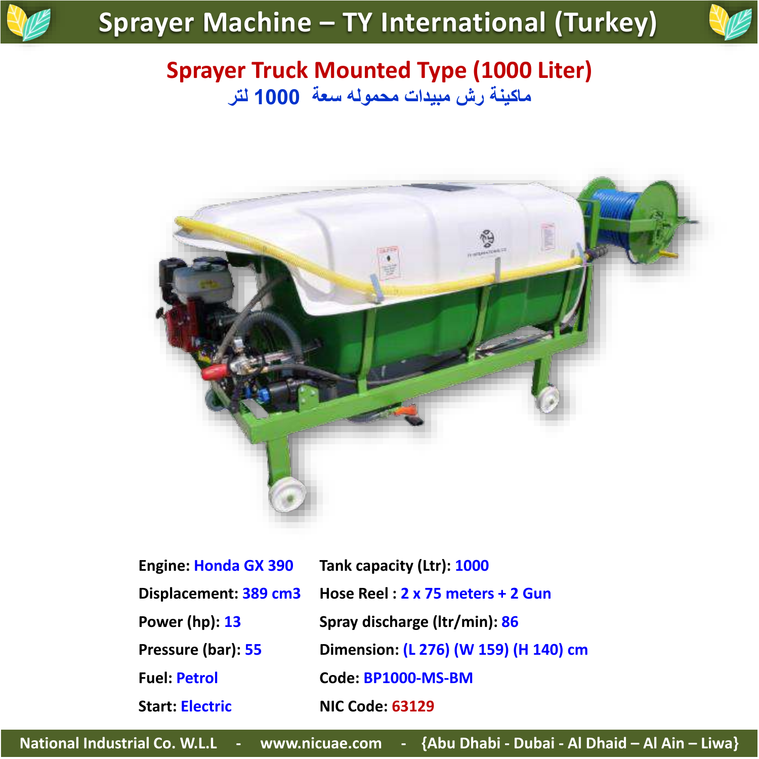

#### **Sprayer Truck Mounted Type (1000 Liter) ماكينة رش مبيدات محموله سعة 1000 لتر**



| <b>Engine: Honda GX 390</b> | Tank capacity (Ltr): 1000             |
|-----------------------------|---------------------------------------|
| Displacement: 389 cm3       | Hose Reel: 2 x 75 meters + 2 Gun      |
| Power (hp): 13              | Spray discharge (Itr/min): 86         |
| Pressure (bar): 55          | Dimension: (L 276) (W 159) (H 140) cm |
| <b>Fuel: Petrol</b>         | Code: BP1000-MS-BM                    |
| <b>Start: Electric</b>      | <b>NIC Code: 63129</b>                |
|                             |                                       |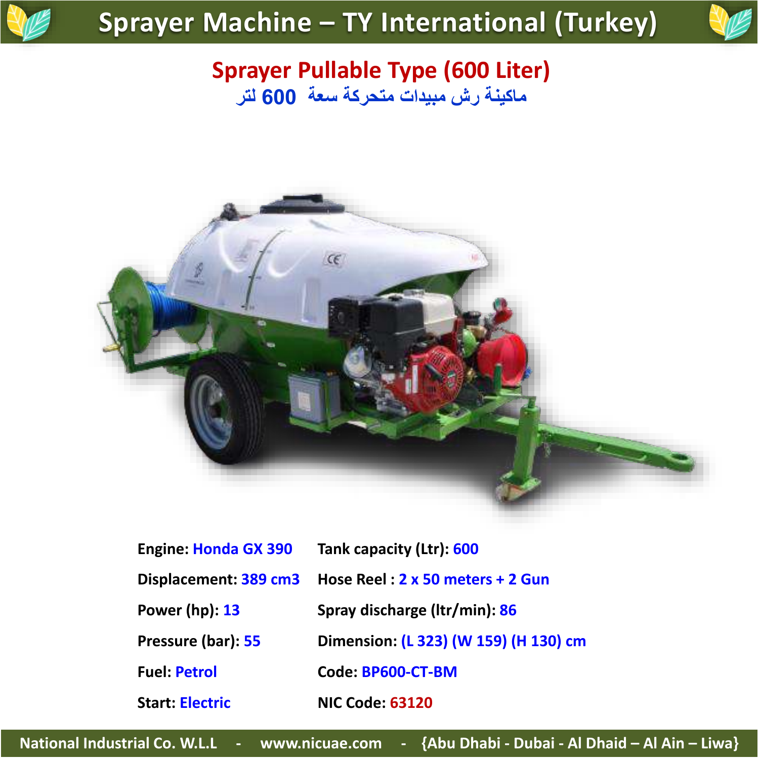

#### **Sprayer Pullable Type (600 Liter) ماكينة رش مبيدات متحركة سعة 600 لتر**



| <b>Engine: Honda GX 390</b> | Tank capacity (Ltr): 600              |
|-----------------------------|---------------------------------------|
| Displacement: 389 cm3       | Hose Reel: 2 x 50 meters + 2 Gun      |
| <b>Power (hp): 13</b>       | Spray discharge (Itr/min): 86         |
| Pressure (bar): 55          | Dimension: (L 323) (W 159) (H 130) cm |
| <b>Fuel: Petrol</b>         | Code: BP600-CT-BM                     |
| <b>Start: Electric</b>      | <b>NIC Code: 63120</b>                |
|                             |                                       |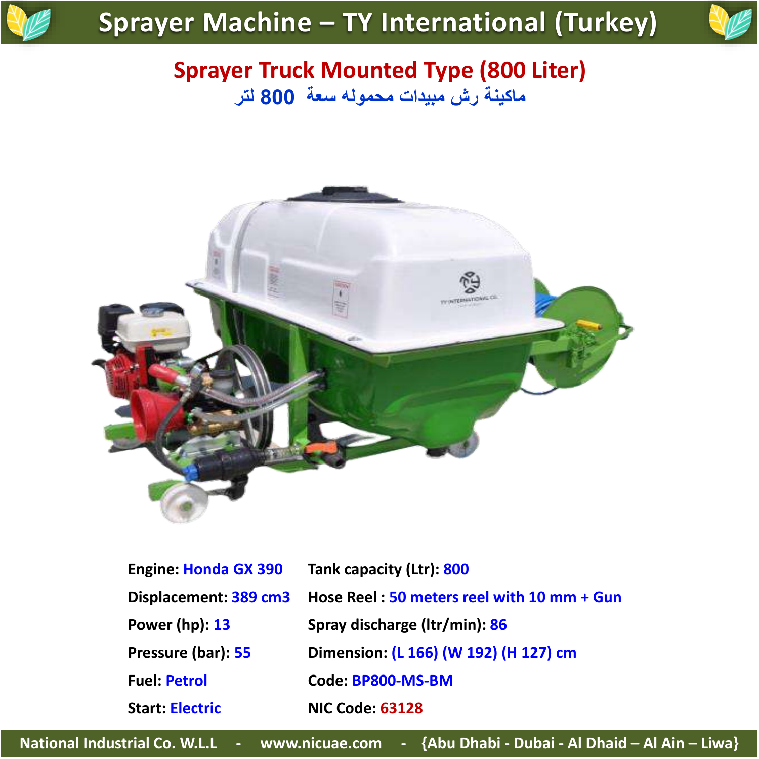

#### **Sprayer Truck Mounted Type (800 Liter) ماكينة رش مبيدات محموله سعة 800 لتر**



| <b>Engine: Honda GX 390</b> | Tank capacity (Ltr): 800                   |
|-----------------------------|--------------------------------------------|
| Displacement: 389 cm3       | Hose Reel: 50 meters reel with 10 mm + Gun |
| <b>Power (hp): 13</b>       | Spray discharge (Itr/min): 86              |
| Pressure (bar): 55          | Dimension: (L 166) (W 192) (H 127) cm      |
| <b>Fuel: Petrol</b>         | Code: BP800-MS-BM                          |
| <b>Start: Electric</b>      | <b>NIC Code: 63128</b>                     |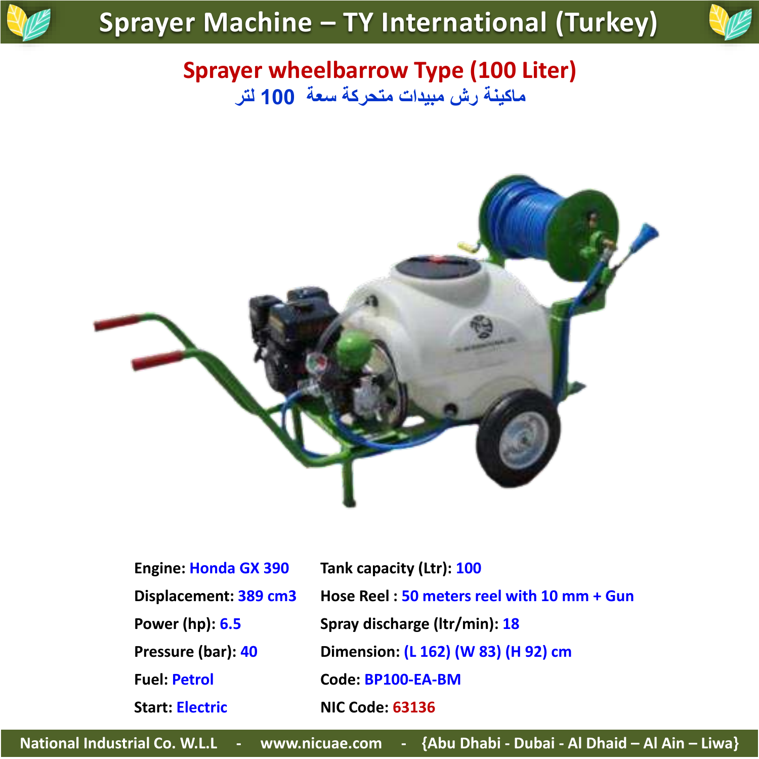

#### **Sprayer wheelbarrow Type (100 Liter) ماكينة رش مبيدات متحركة سعة 100 لتر**



| <b>Engine: Honda GX 390</b> | Tank capacity (Ltr): 100                   |
|-----------------------------|--------------------------------------------|
| Displacement: 389 cm3       | Hose Reel: 50 meters reel with 10 mm + Gun |
| Power (hp): 6.5             | Spray discharge (Itr/min): 18              |
| Pressure (bar): 40          | Dimension: (L 162) (W 83) (H 92) cm        |
| <b>Fuel: Petrol</b>         | Code: BP100-EA-BM                          |
| <b>Start: Electric</b>      | <b>NIC Code: 63136</b>                     |
|                             |                                            |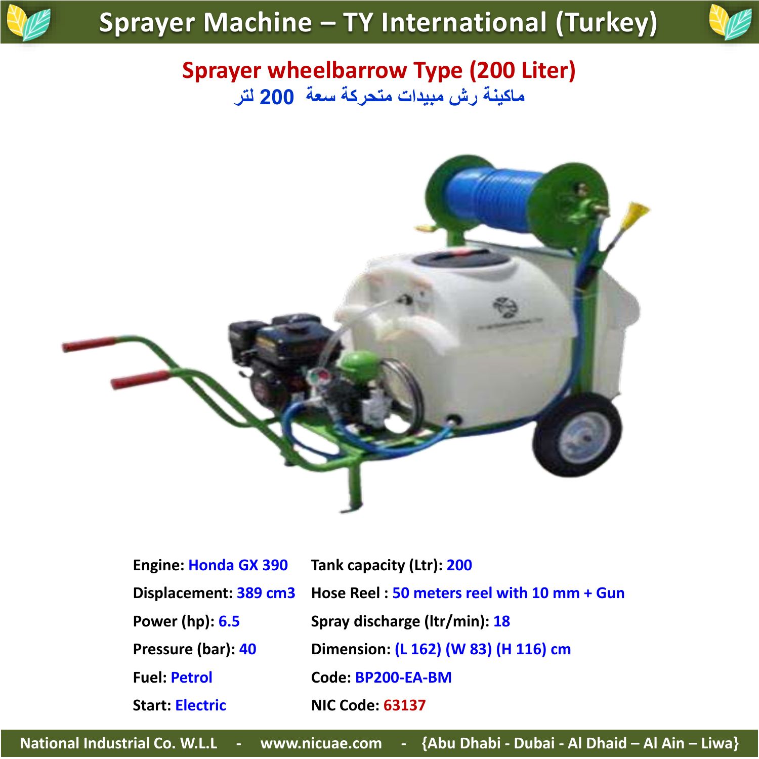

#### **Sprayer wheelbarrow Type (200 Liter) ماكينة رش مبيدات متحركة سعة 200 لتر**



| Hose Reel: 50 meters reel with 10 mm + Gun |
|--------------------------------------------|
|                                            |
|                                            |
|                                            |
|                                            |
|                                            |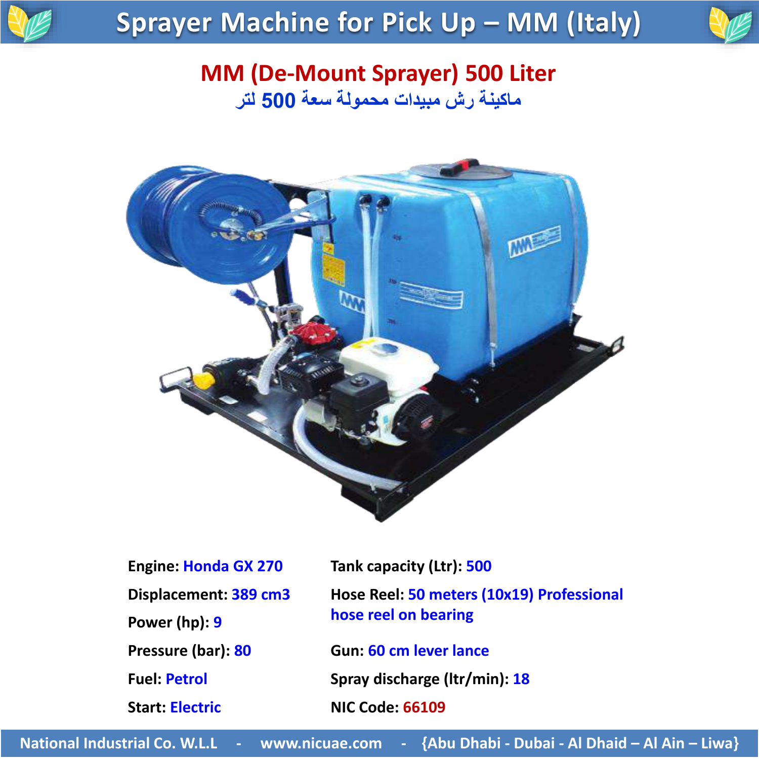

## **Sprayer Machine for Pick Up – MM (Italy)**



#### **MM (De-Mount Sprayer) 500 Liter ماكينة رش مبيدات محمولة سعة 500 لتر**



| <b>Engine: Honda GX 270</b> |
|-----------------------------|
| Displacement: 389 cm3       |
| Power (hp): 9               |
| Pressure (bar): 80          |
| <b>Fuel: Petrol</b>         |
| <b>Start: Electric</b>      |

**Fank capacity (Ltr): 500 Hose Reel: 50 meters (10x19) Professional hose reel on bearing** 

**Pressure (bar): 80 Gun: 60 cm lever lance Fuel: Petrol Spray discharge (ltr/min): 18 Start: Electric NIC Code: 66109**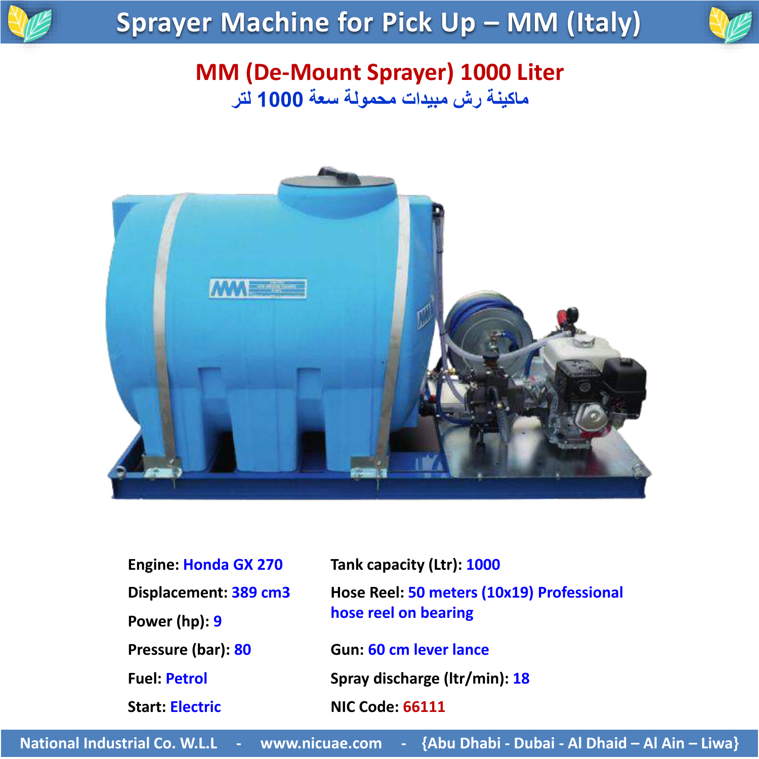

## **Sprayer Machine for Pick Up – MM (Italy)**



#### **MM (De-Mount Sprayer) 1000 Liter ماكينة رش مبيدات محمولة سعة 1000 لتر**



| <b>Engine: Honda GX 270</b> |
|-----------------------------|
| Displacement: 389 cm3       |
| Power (hp): 9               |
| Pressure (bar): 80          |
| <b>Fuel: Petrol</b>         |
| <b>Start: Electric</b>      |

**Tank capacity (Ltr): 1000 Hose Reel: 50 meters (10x19) Professional hose reel on bearing Pressure (bar): 80 Gun: 60 cm lever lance Fuel: Petrol Spray discharge (ltr/min): 18 Start: Electric NIC Code: 66111**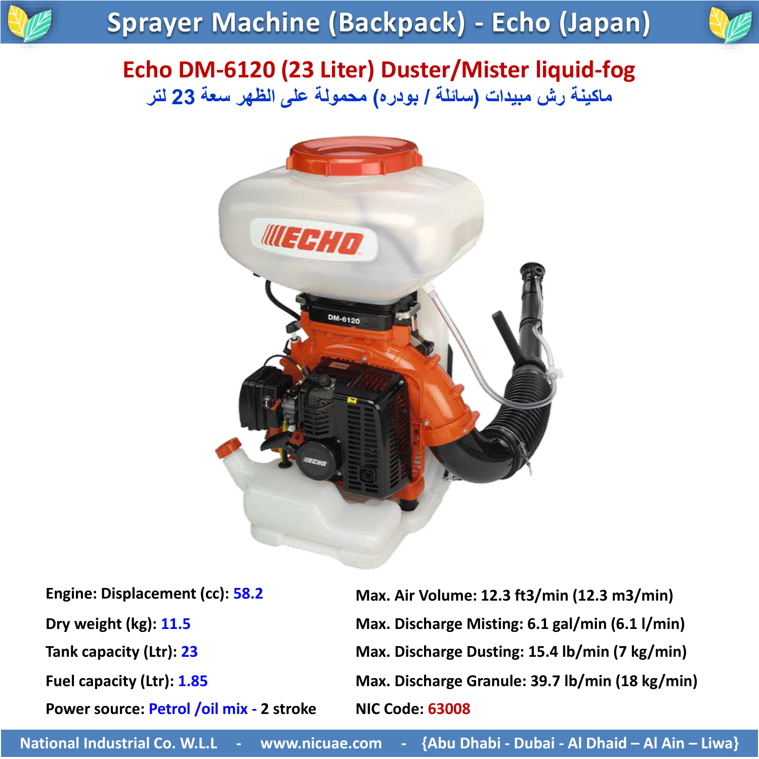### **Sprayer Machine (Backpack) - Echo (Japan)**



#### **Echo DM-6120 (23 Liter) Duster/Mister liquid-fog ماكينة رش مبيدات )سائلة / بودره( محمولة على الظهر سعة 23 لتر**



**Power source: Petrol /oil mix - 2 stroke NIC Code: 63008**

**Engine: Displacement (cc): 58.2 Max. Air Volume: 12.3 ft3/min (12.3 m3/min)**) **Dry weight (kg): 11.5 Max. Discharge Misting: 6.1 gal/min (6.1 l/min) Tank capacity (Ltr): 23 Max. Discharge Dusting: 15.4 lb/min (7 kg/min) Fuel capacity (Ltr): 1.85 Max. Discharge Granule: 39.7 lb/min (18 kg/min)**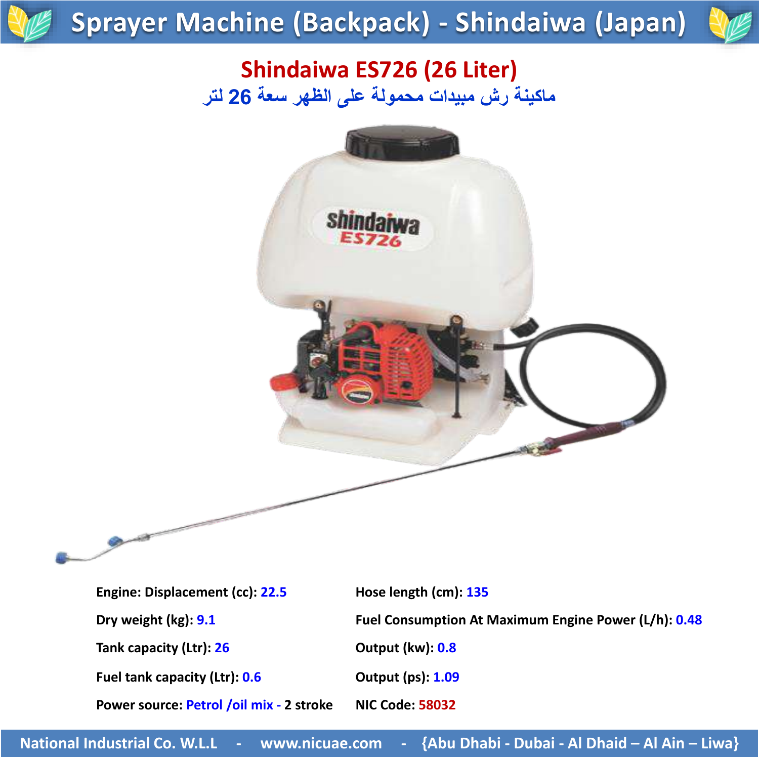### **Sprayer Machine (Backpack) - Shindaiwa (Japan)**



### **Shindaiwa ES726 (26 Liter) ماكينة رش مبيدات محمولة على الظهر سعة 26 لتر**



**Engine: Displacement (cc): 22.5 Hose length (cm): 135**

**Tank capacity (Ltr): 26 Output (kw): 0.8**

**Fuel tank capacity (Ltr): 0.6 Output (ps): 1.09**

**Power source: Petrol /oil mix - 2 stroke NIC Code: 58032**

**Dry weight (kg): 9.1 Fuel Consumption At Maximum Engine Power (L/h): 0.48**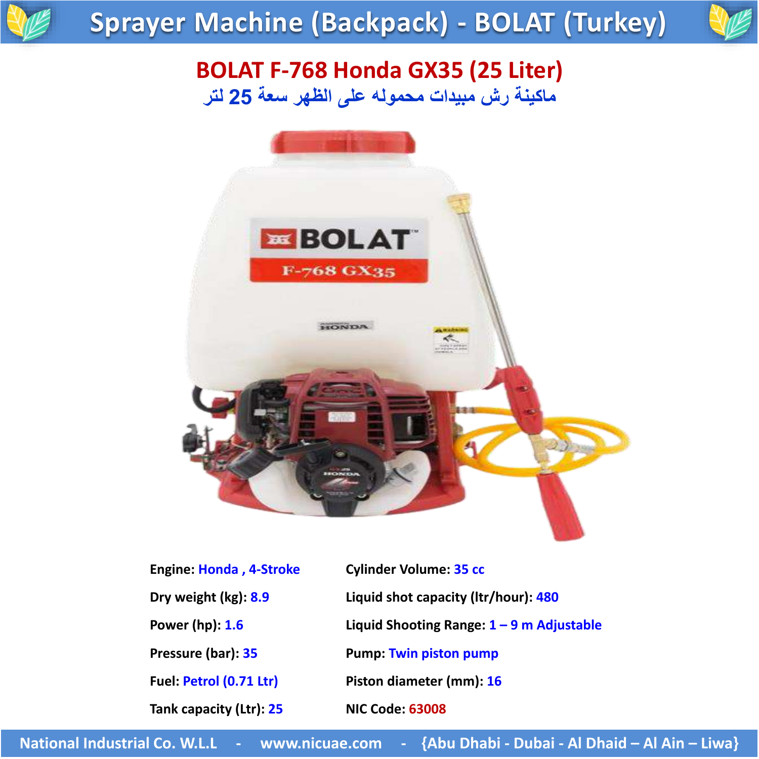### **Sprayer Machine (Backpack) - BOLAT (Turkey)**



#### **BOLAT F-768 Honda GX35 (25 Liter) ماكينة رش مبيدات محموله على الظهر سعة 25 لتر**



| Engine: Honda, 4-Stroke |  |
|-------------------------|--|
| Dry weight (kg): 8.9    |  |
| Power (hp): 1.6         |  |
| Pressure (bar): 35      |  |
| Fuel: Petrol (0.71 Ltr) |  |
| Tank capacity (Ltr): 25 |  |

**Engine 6 Cylinder Volume: 35 cc Dry weight (kg): 8.9 Liquid shot capacity (ltr/hour): 480 Power (hp): 1.6 Liquid Shooting Range: 1 – 9 m Adjustable Pump: Twin piston pump Fiston diameter (mm): 16 Tank capacity (Ltr): 25 NIC Code: 63008**